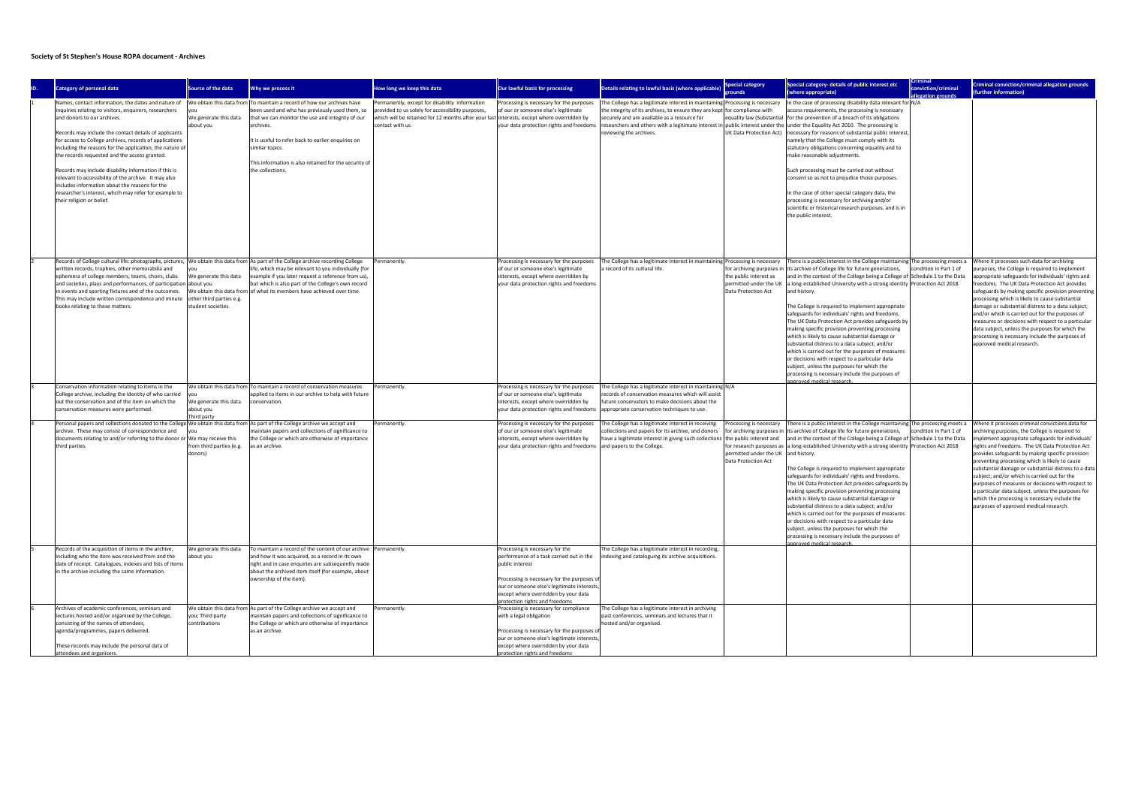## Society of St Stephen's House ROPA document - Archives

| <b>Category of personal data</b>                                                                                                                                                                                                                                                                                                                                                                                                                                                                                                                                                                                                        | Source of the data                                                      | Why we process it                                                                                                                                                                                                                                                                                                                               | How long we keep this data                                                                                                                                                                                           | Our lawful basis for processing                                                                                                                                                                                                                                        | Details relating to lawful basis (where applicable)                                                                                                                                                                                                                                                                                                                     | <b>Special category</b>                                                               | Special category- details of public interest etc<br>(where appropriate)                                                                                                                                                                                                                                                                                                                                                                                                                                                                                                                                                                                                                                                                                                                                                                                                                                     | conviction/criminal    | Criminal conviction/criminal allegation grounds<br>further information)                                                                                                                                                                                                                                                                                                                                                                                                                                                                                                                                                    |
|-----------------------------------------------------------------------------------------------------------------------------------------------------------------------------------------------------------------------------------------------------------------------------------------------------------------------------------------------------------------------------------------------------------------------------------------------------------------------------------------------------------------------------------------------------------------------------------------------------------------------------------------|-------------------------------------------------------------------------|-------------------------------------------------------------------------------------------------------------------------------------------------------------------------------------------------------------------------------------------------------------------------------------------------------------------------------------------------|----------------------------------------------------------------------------------------------------------------------------------------------------------------------------------------------------------------------|------------------------------------------------------------------------------------------------------------------------------------------------------------------------------------------------------------------------------------------------------------------------|-------------------------------------------------------------------------------------------------------------------------------------------------------------------------------------------------------------------------------------------------------------------------------------------------------------------------------------------------------------------------|---------------------------------------------------------------------------------------|-------------------------------------------------------------------------------------------------------------------------------------------------------------------------------------------------------------------------------------------------------------------------------------------------------------------------------------------------------------------------------------------------------------------------------------------------------------------------------------------------------------------------------------------------------------------------------------------------------------------------------------------------------------------------------------------------------------------------------------------------------------------------------------------------------------------------------------------------------------------------------------------------------------|------------------------|----------------------------------------------------------------------------------------------------------------------------------------------------------------------------------------------------------------------------------------------------------------------------------------------------------------------------------------------------------------------------------------------------------------------------------------------------------------------------------------------------------------------------------------------------------------------------------------------------------------------------|
| Names, contact information, the dates and nature of<br>inquiries relating to visitors, enquirers, researchers<br>and donors to our archives.<br>Records may include the contact details of applicants<br>for access to College archives, records of applications<br>including the reasons for the application, the nature of<br>the records requested and the access granted.<br>Records may include disability information if this is<br>relevant to accessibility of the archive. It may also<br>includes information about the reasons for the<br>researcher's interest, whcih may refer for example to<br>their religion or belief. | We generate this data<br>about you                                      | We obtain this data from To maintain a record of how our archives have<br>been used and who has previously used them, so<br>that we can monitor the use and integrity of our<br>archives.<br>It is useful to refer back to earlier enquiries on<br>similar topics.<br>This information is also retained for the security of<br>the collections. | Permanently, except for disability information<br>rovided to us solely for accessibility purposes,<br>which will be retained for 12 months after your last interests, except where overridden by<br>contact with us. | Processing is necessary for the purposes<br>of our or someone else's legitimate<br>your data protection rights and freedoms                                                                                                                                            | The College has a legitimate interest in maintaining Processing is necessary<br>the integrity of its archives, to ensure they are kept for compliance with<br>securely and are available as a resource for<br>researchers and others with a legitimate interest in public interest under the lunder the Equality Act 2010. The processing is<br>reviewing the archives. |                                                                                       | In the case of processing disability data relevant for N/A<br>access requirements, the processing is necessary<br>equality law (Substantial   for the prevention of a breach of its obligations<br>UK Data Protection Act)   necessary for reasons of substantial public interest,<br>namely that the College must comply with its<br>statutory obligations concerning equality and to<br>make reasonable adjustments.<br>Such processing must be carried out without<br>consent so as not to prejudice those purposes.<br>In the case of other special category data, the<br>processing is necessary for archiving and/or<br>scientific or historical research purposes, and is in<br>the public interest.                                                                                                                                                                                                 |                        |                                                                                                                                                                                                                                                                                                                                                                                                                                                                                                                                                                                                                            |
| Records of College cultural life: photographs, pictures,  We obtain this data from  As part of the College archive recording College<br>written records, trophies, other memorabilia and<br>ephemera of college members, teams, choirs, clubs<br>and societies, plays and performances, of participation about you<br>in events and sporting fixtures and of the outcomes.<br>This may include written correspondence and minute<br>books relating to these matters.                                                                                                                                                                    | We generate this data<br>other third parties e.g.<br>student societies. | life, which may be relevant to you individually (for<br>example if you later request a reference from us),<br>but which is also part of the College's own record<br>We obtain this data from of what its members have achieved over time.                                                                                                       | Permanently                                                                                                                                                                                                          | Processing is necessary for the purposes<br>of our or someone else's legitimate<br>interests, except where overridden by<br>your data protection rights and freedoms                                                                                                   | The College has a legitimate interest in maintaining Processing is necessary<br>a record of its cultural life                                                                                                                                                                                                                                                           | the public interest as<br>permitted under the UK<br>Data Protection Act               | There is a public interest in the College maintaining The processing meets a<br>for archiving purposes in  its archive of College life for future generations,<br>and in the context of the College being a College of Schedule 1 to the Data<br>a long-established University with a strong identity Protection Act 2018<br>and history.<br>The College is required to implement appropriate<br>safeguards for individuals' rights and freedoms.<br>The UK Data Protection Act provides safeguards by<br>making specific provision preventing processing<br>which is likely to cause substantial damage or<br>substantial distress to a data subject; and/or<br>which is carried out for the purposes of measures<br>or decisions with respect to a particular data<br>subject, unless the purposes for which the<br>processing is necessary include the purposes of<br>pproved medical research           | condition in Part 1 of | Where it processes such data for archiving<br>ourposes, the College is required to implement<br>appropriate safeguards for individuals' rights and<br>reedoms. The UK Data Protection Act provides<br>safeguards by making specific provision preventing<br>processing which is likely to cause substantial<br>damage or substantial distress to a data subject;<br>and/or which is carried out for the purposes of<br>measures or decisions with respect to a particular<br>data subject, unless the purposes for which the<br>processing is necessary include the purposes of<br>approved medical research.              |
| Conservation information relating to items in the<br>College archive, including the identity of who carried<br>out the conservation and of the item on which the<br>conservation measures were performed                                                                                                                                                                                                                                                                                                                                                                                                                                | We generate this data<br>about you<br>hird party                        | We obtain this data from To maintain a record of conservation measures<br>applied to items in our archive to help with future<br>conservation.                                                                                                                                                                                                  | Permanently                                                                                                                                                                                                          | Processing is necessary for the purposes<br>of our or someone else's legitimate<br>interests, except where overridden by<br>your data protection rights and freedoms                                                                                                   | The College has a legitimate interest in maintaining N/A<br>records of conservation measures which will assist<br>future conservators to make decisions about the<br>appropriate conservation techniques to use.                                                                                                                                                        |                                                                                       |                                                                                                                                                                                                                                                                                                                                                                                                                                                                                                                                                                                                                                                                                                                                                                                                                                                                                                             |                        |                                                                                                                                                                                                                                                                                                                                                                                                                                                                                                                                                                                                                            |
| Personal papers and collections donated to the College We obtain this data from As part of the College archive we accept and<br>archive. These may consist of correspondence and<br>documents relating to and/or referring to the donor or We may receive this<br>third parties.                                                                                                                                                                                                                                                                                                                                                        | from third parties (e.g.<br>donors)                                     | maintain papers and collections of significance to<br>the College or which are otherwise of importance<br>as an archive.                                                                                                                                                                                                                        | Permanently                                                                                                                                                                                                          | Processing is necessary for the purposes<br>of our or someone else's legitimate<br>interests, except where overridden by<br>your data protection rights and freedoms and papers to the College                                                                         | The College has a legitimate interest in receiving<br>collections and papers for its archive, and donors<br>have a legitimate interest in giving such collections the public interest and                                                                                                                                                                               | Processing is necessary<br>permitted under the UK and history.<br>Data Protection Act | There is a public interest in the College maintaining The processing meets a<br>for archiving purposes in lits archive of College life for future generations,<br>and in the context of the College being a College of Schedule 1 to the Data<br>for research purposes as a long-established University with a strong identity Protection Act 2018<br>The College is required to implement appropriate<br>safeguards for individuals' rights and freedoms.<br>The UK Data Protection Act provides safeguards by<br>making specific provision preventing processing<br>which is likely to cause substantial damage or<br>substantial distress to a data subject; and/or<br>which is carried out for the purposes of measures<br>or decisions with respect to a particular data<br>subject, unless the purposes for which the<br>processing is necessary include the purposes of<br>inroved medical research. | condition in Part 1 of | Where it processes criminal convictions data for<br>rchiving purposes, the College is required to<br>mplement appropriate safeguards for individuals<br>ights and freedoms. The UK Data Protection Act<br>provides safeguards by making specific provision<br>preventing processing which is likely to cause<br>substantial damage or substantial distress to a data<br>subject; and/or which is carried out for the<br>purposes of measures or decisions with respect to<br>a particular data subject, unless the purposes for<br>which the processing is necessary include the<br>purposes of approved medical research. |
| Records of the acquisition of items in the archive,<br>including who the item was received from and the<br>date of receipt. Catalogues, indexes and lists of items<br>in the archive including the same information.                                                                                                                                                                                                                                                                                                                                                                                                                    | We generate this data<br>about you                                      | To maintain a record of the content of our archive   Permanently.<br>and how it was acquired, as a record in its own<br>right and in case enquiries are subsequently made<br>about the archived item itself (for example, about<br>ownership of the item).                                                                                      |                                                                                                                                                                                                                      | Processing is necessary for the<br>performance of a task carried out in the<br>public interest<br>Processing is necessary for the purposes of<br>our or someone else's legitimate interests,<br>except where overridden by your data<br>protection rights and freedoms | The College has a legitimate interest in recording,<br>indexing and cataloguing its archive acquisitions.                                                                                                                                                                                                                                                               |                                                                                       |                                                                                                                                                                                                                                                                                                                                                                                                                                                                                                                                                                                                                                                                                                                                                                                                                                                                                                             |                        |                                                                                                                                                                                                                                                                                                                                                                                                                                                                                                                                                                                                                            |
| Archives of academic conferences, seminars and<br>lectures hosted and/or organised by the College,<br>consisting of the names of attendees,<br>agenda/programmes, papers delivered.<br>These records may include the personal data of<br>attendees and organisers.                                                                                                                                                                                                                                                                                                                                                                      | ou; Third party<br>contributions                                        | We obtain this data from As part of the College archive we accept and<br>maintain papers and collections of significance to<br>the College or which are otherwise of importance<br>as an archive.                                                                                                                                               | Permanently                                                                                                                                                                                                          | Processing is necessary for compliance<br>with a legal obligation<br>Processing is necessary for the purposes of<br>our or someone else's legitimate interests,<br>except where overridden by your data<br>protection rights and freedoms                              | The College has a legitimate interest in archiving<br>past conferences, seminars and lectures that it<br>hosted and/or organised.                                                                                                                                                                                                                                       |                                                                                       |                                                                                                                                                                                                                                                                                                                                                                                                                                                                                                                                                                                                                                                                                                                                                                                                                                                                                                             |                        |                                                                                                                                                                                                                                                                                                                                                                                                                                                                                                                                                                                                                            |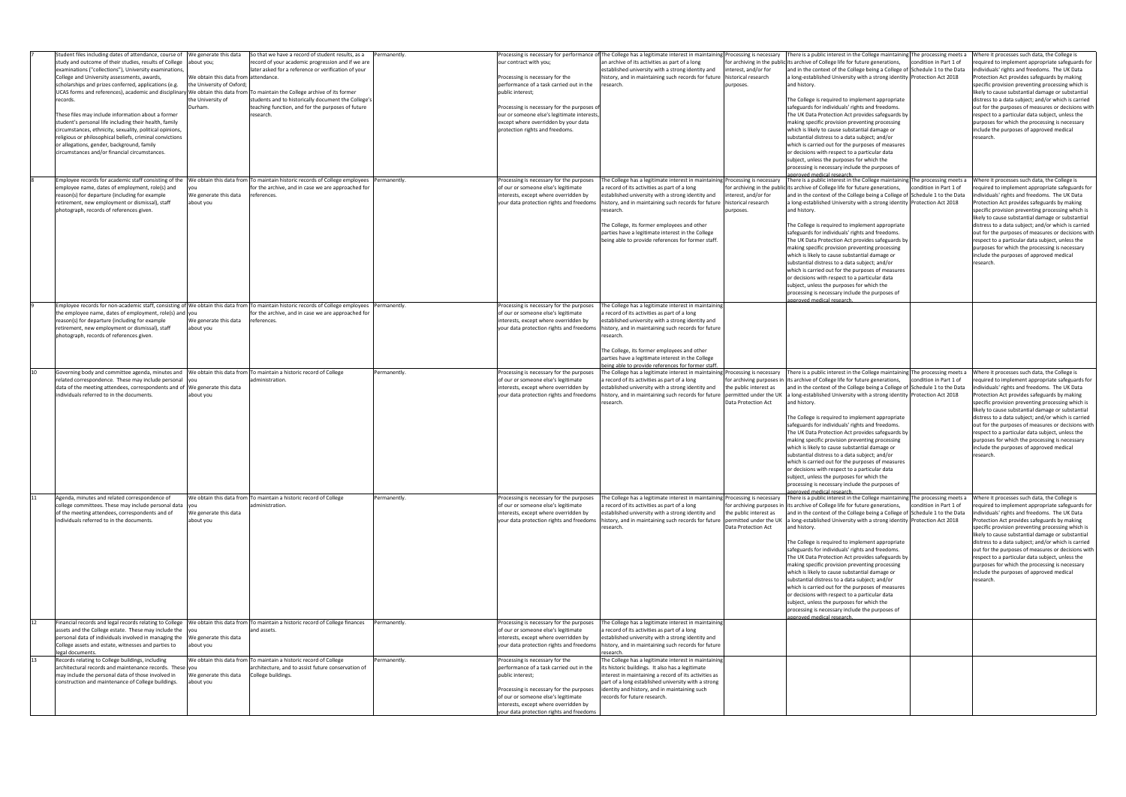|    | Student files including dates of attendance, course of We generate this data                                                                    |                                      | So that we have a record of student results, as a                 | Permanently. |                                                                                   |                                                                                                | Processing is necessary for performance of The College has a legitimate interest in maintaining Processing is necessary There is a public interest in the College maintaining The processing meets a | Where it processes such data, the College is        |
|----|-------------------------------------------------------------------------------------------------------------------------------------------------|--------------------------------------|-------------------------------------------------------------------|--------------|-----------------------------------------------------------------------------------|------------------------------------------------------------------------------------------------|------------------------------------------------------------------------------------------------------------------------------------------------------------------------------------------------------|-----------------------------------------------------|
|    | study and outcome of their studies, results of College  about you;                                                                              |                                      | record of your academic progression and if we are                 |              | our contract with you;                                                            | an archive of its activities as part of a long                                                 | for archiving in the public its archive of College life for future generations,<br>condition in Part 1 of                                                                                            | equired to implement appropriate safeguards for     |
|    | examinations ("collections"), University examinations,                                                                                          |                                      | later asked for a reference or verification of your               |              |                                                                                   | established university with a strong identity and<br>interest, and/or for                      | and in the context of the College being a College of Schedule 1 to the Data                                                                                                                          | individuals' rights and freedoms. The UK Data       |
|    | College and University assessments, awards,                                                                                                     | We obtain this data from attendance. |                                                                   |              | Processing is necessary for the                                                   | history, and in maintaining such records for future   historical research                      | a long-established University with a strong identity Protection Act 2018                                                                                                                             | Protection Act provides safeguards by making        |
|    |                                                                                                                                                 |                                      |                                                                   |              |                                                                                   |                                                                                                | and history.                                                                                                                                                                                         |                                                     |
|    | scholarships and prizes conferred, applications (e.g.                                                                                           | the University of Oxford;            |                                                                   |              | performance of a task carried out in the                                          | esearch<br>purposes.                                                                           |                                                                                                                                                                                                      | specific provision preventing processing which is   |
|    | UCAS forms and references), academic and disciplinary We obtain this data from To maintain the College archive of its former                    |                                      |                                                                   |              | public interest;                                                                  |                                                                                                |                                                                                                                                                                                                      | likely to cause substantial damage or substantial   |
|    | records.                                                                                                                                        | the University of                    | students and to historically document the College's               |              |                                                                                   |                                                                                                | The College is required to implement appropriate                                                                                                                                                     | distress to a data subject; and/or which is carried |
|    |                                                                                                                                                 | Durham.                              | teaching function, and for the purposes of future                 |              | Processing is necessary for the purposes of                                       |                                                                                                | safeguards for individuals' rights and freedoms.                                                                                                                                                     | out for the purposes of measures or decisions with  |
|    | These files may include information about a former                                                                                              |                                      | research.                                                         |              | our or someone else's legitimate interests                                        |                                                                                                | The UK Data Protection Act provides safeguards by                                                                                                                                                    | respect to a particular data subject, unless the    |
|    |                                                                                                                                                 |                                      |                                                                   |              |                                                                                   |                                                                                                |                                                                                                                                                                                                      |                                                     |
|    | student's personal life including their health, family                                                                                          |                                      |                                                                   |              | except where overridden by your data                                              |                                                                                                | making specific provision preventing processing                                                                                                                                                      | purposes for which the processing is necessary      |
|    | circumstances, ethnicity, sexuality, political opinions,                                                                                        |                                      |                                                                   |              | protection rights and freedoms                                                    |                                                                                                | which is likely to cause substantial damage or                                                                                                                                                       | include the purposes of approved medical            |
|    | religious or philosophical beliefs, criminal convictions                                                                                        |                                      |                                                                   |              |                                                                                   |                                                                                                | substantial distress to a data subject; and/or                                                                                                                                                       | research.                                           |
|    | or allegations, gender, background, family                                                                                                      |                                      |                                                                   |              |                                                                                   |                                                                                                | which is carried out for the purposes of measures                                                                                                                                                    |                                                     |
|    | circumstances and/or financial circumstances.                                                                                                   |                                      |                                                                   |              |                                                                                   |                                                                                                | or decisions with respect to a particular data                                                                                                                                                       |                                                     |
|    |                                                                                                                                                 |                                      |                                                                   |              |                                                                                   |                                                                                                |                                                                                                                                                                                                      |                                                     |
|    |                                                                                                                                                 |                                      |                                                                   |              |                                                                                   |                                                                                                | subject, unless the purposes for which the                                                                                                                                                           |                                                     |
|    |                                                                                                                                                 |                                      |                                                                   |              |                                                                                   |                                                                                                | processing is necessary include the purposes of                                                                                                                                                      |                                                     |
|    |                                                                                                                                                 |                                      |                                                                   |              |                                                                                   |                                                                                                | proved medical research                                                                                                                                                                              |                                                     |
|    | Employee records for academic staff consisting of the  We obtain this data from To maintain historic records of College employees  Permanently. |                                      |                                                                   |              | Processing is necessary for the purposes                                          | The College has a legitimate interest in maintaining Processing is necessary                   | There is a public interest in the College maintaining The processing meets a                                                                                                                         | Where it processes such data, the College is        |
|    | employee name, dates of employment, role(s) and                                                                                                 |                                      | for the archive, and in case we are approached for                |              | of our or someone else's legitimate                                               | record of its activities as part of a long                                                     | for archiving in the public its archive of College life for future generations,<br>condition in Part 1 of                                                                                            | equired to implement appropriate safeguards for     |
|    | reason(s) for departure (including for example                                                                                                  | We generate this data                | references.                                                       |              | interests, except where overridden by                                             | interest, and/or for<br>established university with a strong identity and                      | and in the context of the College being a College of Schedule 1 to the Data                                                                                                                          | individuals' rights and freedoms. The UK Data       |
|    | retirement, new employment or dismissal), staff                                                                                                 | about you                            |                                                                   |              | your data protection rights and freedoms                                          | history, and in maintaining such records for future   historical research                      | a long-established University with a strong identity Protection Act 2018                                                                                                                             | Protection Act provides safeguards by making        |
|    |                                                                                                                                                 |                                      |                                                                   |              |                                                                                   | esearch<br>purposes.                                                                           | and history.                                                                                                                                                                                         |                                                     |
|    | photograph, records of references given.                                                                                                        |                                      |                                                                   |              |                                                                                   |                                                                                                |                                                                                                                                                                                                      | specific provision preventing processing which is   |
|    |                                                                                                                                                 |                                      |                                                                   |              |                                                                                   |                                                                                                |                                                                                                                                                                                                      | likely to cause substantial damage or substantial   |
|    |                                                                                                                                                 |                                      |                                                                   |              |                                                                                   | The College, its former employees and other                                                    | The College is required to implement appropriate                                                                                                                                                     | distress to a data subject; and/or which is carried |
|    |                                                                                                                                                 |                                      |                                                                   |              |                                                                                   | parties have a legitimate interest in the College                                              | safeguards for individuals' rights and freedoms.                                                                                                                                                     | out for the purposes of measures or decisions with  |
|    |                                                                                                                                                 |                                      |                                                                   |              |                                                                                   | being able to provide references for former staff.                                             | The UK Data Protection Act provides safeguards by                                                                                                                                                    | respect to a particular data subject, unless the    |
|    |                                                                                                                                                 |                                      |                                                                   |              |                                                                                   |                                                                                                |                                                                                                                                                                                                      | purposes for which the processing is necessary      |
|    |                                                                                                                                                 |                                      |                                                                   |              |                                                                                   |                                                                                                | making specific provision preventing processing                                                                                                                                                      |                                                     |
|    |                                                                                                                                                 |                                      |                                                                   |              |                                                                                   |                                                                                                | which is likely to cause substantial damage or                                                                                                                                                       | include the purposes of approved medical            |
|    |                                                                                                                                                 |                                      |                                                                   |              |                                                                                   |                                                                                                | substantial distress to a data subject; and/or                                                                                                                                                       | research.                                           |
|    |                                                                                                                                                 |                                      |                                                                   |              |                                                                                   |                                                                                                | which is carried out for the purposes of measures                                                                                                                                                    |                                                     |
|    |                                                                                                                                                 |                                      |                                                                   |              |                                                                                   |                                                                                                | or decisions with respect to a particular data                                                                                                                                                       |                                                     |
|    |                                                                                                                                                 |                                      |                                                                   |              |                                                                                   |                                                                                                |                                                                                                                                                                                                      |                                                     |
|    |                                                                                                                                                 |                                      |                                                                   |              |                                                                                   |                                                                                                | subject, unless the purposes for which the                                                                                                                                                           |                                                     |
|    |                                                                                                                                                 |                                      |                                                                   |              |                                                                                   |                                                                                                | processing is necessary include the purposes of                                                                                                                                                      |                                                     |
|    |                                                                                                                                                 |                                      |                                                                   |              |                                                                                   |                                                                                                | <u>nnroved medical researc</u>                                                                                                                                                                       |                                                     |
|    | Employee records for non-academic staff, consisting of We obtain this data from To maintain historic records of College employees Permanently.  |                                      |                                                                   |              | Processing is necessary for the purposes                                          | The College has a legitimate interest in maintaining                                           |                                                                                                                                                                                                      |                                                     |
|    | the employee name, dates of employment, role(s) and vou                                                                                         |                                      | for the archive, and in case we are approached for                |              | of our or someone else's legitimate                                               | record of its activities as part of a long                                                     |                                                                                                                                                                                                      |                                                     |
|    | reason(s) for departure (including for example                                                                                                  | We generate this data                | references.                                                       |              | interests, except where overridden by                                             | established university with a strong identity and                                              |                                                                                                                                                                                                      |                                                     |
|    | retirement, new employment or dismissal), staff                                                                                                 | about you                            |                                                                   |              | your data protection rights and freedoms                                          | history, and in maintaining such records for future                                            |                                                                                                                                                                                                      |                                                     |
|    |                                                                                                                                                 |                                      |                                                                   |              |                                                                                   |                                                                                                |                                                                                                                                                                                                      |                                                     |
|    | photograph, records of references given.                                                                                                        |                                      |                                                                   |              |                                                                                   | esearch                                                                                        |                                                                                                                                                                                                      |                                                     |
|    |                                                                                                                                                 |                                      |                                                                   |              |                                                                                   |                                                                                                |                                                                                                                                                                                                      |                                                     |
|    |                                                                                                                                                 |                                      |                                                                   |              |                                                                                   | The College, its former employees and other                                                    |                                                                                                                                                                                                      |                                                     |
|    |                                                                                                                                                 |                                      |                                                                   |              |                                                                                   | parties have a legitimate interest in the College                                              |                                                                                                                                                                                                      |                                                     |
|    |                                                                                                                                                 |                                      |                                                                   |              |                                                                                   | eing able to provide references for former staff.                                              |                                                                                                                                                                                                      |                                                     |
| 10 | Governing body and committee agenda, minutes and  We obtain this data from To maintain a historic record of College                             |                                      |                                                                   | Permanently. | Processing is necessary for the purposes                                          | The College has a legitimate interest in maintaining Processing is necessary                   | There is a public interest in the College maintaining The processing meets a                                                                                                                         | Where it processes such data, the College is        |
|    | related correspondence. These may include personal you                                                                                          |                                      | administration.                                                   |              | of our or someone else's legitimate                                               | a record of its activities as part of a long                                                   | for archiving purposes in lits archive of College life for future generations,<br>condition in Part 1 of                                                                                             | equired to implement appropriate safeguards for     |
|    |                                                                                                                                                 |                                      |                                                                   |              |                                                                                   |                                                                                                |                                                                                                                                                                                                      |                                                     |
|    |                                                                                                                                                 |                                      |                                                                   |              |                                                                                   |                                                                                                |                                                                                                                                                                                                      |                                                     |
|    | data of the meeting attendees, correspondents and of We generate this data                                                                      |                                      |                                                                   |              | interests, except where overridden by                                             | established university with a strong identity and<br>the public interest as                    | and in the context of the College being a College of Schedule 1 to the Data                                                                                                                          | individuals' rights and freedoms. The UK Data       |
|    | individuals referred to in the documents.                                                                                                       | about you                            |                                                                   |              | your data protection rights and freedoms                                          | istory, and in maintaining such records for future  permitted under the UK                     | a long-established University with a strong identity   Protection Act 2018                                                                                                                           | Protection Act provides safeguards by making        |
|    |                                                                                                                                                 |                                      |                                                                   |              |                                                                                   | Data Protection Act<br>esearch                                                                 | and history.                                                                                                                                                                                         | specific provision preventing processing which is   |
|    |                                                                                                                                                 |                                      |                                                                   |              |                                                                                   |                                                                                                |                                                                                                                                                                                                      |                                                     |
|    |                                                                                                                                                 |                                      |                                                                   |              |                                                                                   |                                                                                                |                                                                                                                                                                                                      | likely to cause substantial damage or substantial   |
|    |                                                                                                                                                 |                                      |                                                                   |              |                                                                                   |                                                                                                | The College is required to implement appropriate                                                                                                                                                     | distress to a data subject; and/or which is carried |
|    |                                                                                                                                                 |                                      |                                                                   |              |                                                                                   |                                                                                                | safeguards for individuals' rights and freedoms.                                                                                                                                                     | out for the purposes of measures or decisions with  |
|    |                                                                                                                                                 |                                      |                                                                   |              |                                                                                   |                                                                                                | The UK Data Protection Act provides safeguards by                                                                                                                                                    | respect to a particular data subject, unless the    |
|    |                                                                                                                                                 |                                      |                                                                   |              |                                                                                   |                                                                                                | making specific provision preventing processing                                                                                                                                                      | purposes for which the processing is necessary      |
|    |                                                                                                                                                 |                                      |                                                                   |              |                                                                                   |                                                                                                |                                                                                                                                                                                                      |                                                     |
|    |                                                                                                                                                 |                                      |                                                                   |              |                                                                                   |                                                                                                | which is likely to cause substantial damage or                                                                                                                                                       | include the purposes of approved medical            |
|    |                                                                                                                                                 |                                      |                                                                   |              |                                                                                   |                                                                                                | substantial distress to a data subject; and/or                                                                                                                                                       | research.                                           |
|    |                                                                                                                                                 |                                      |                                                                   |              |                                                                                   |                                                                                                | which is carried out for the purposes of measures                                                                                                                                                    |                                                     |
|    |                                                                                                                                                 |                                      |                                                                   |              |                                                                                   |                                                                                                | or decisions with respect to a particular data                                                                                                                                                       |                                                     |
|    |                                                                                                                                                 |                                      |                                                                   |              |                                                                                   |                                                                                                | subject, unless the purposes for which the                                                                                                                                                           |                                                     |
|    |                                                                                                                                                 |                                      |                                                                   |              |                                                                                   |                                                                                                | processing is necessary include the purposes of                                                                                                                                                      |                                                     |
|    |                                                                                                                                                 |                                      |                                                                   |              |                                                                                   |                                                                                                |                                                                                                                                                                                                      |                                                     |
|    | Agenda, minutes and related correspondence of                                                                                                   |                                      | We obtain this data from To maintain a historic record of College | Permanently. | Processing is necessary for the purposes                                          | The College has a legitimate interest in maintaining Processing is necessary                   |                                                                                                                                                                                                      | Where it processes such data, the College is        |
|    |                                                                                                                                                 |                                      |                                                                   |              |                                                                                   |                                                                                                | There is a public interest in the College maintaining The processing meets a                                                                                                                         |                                                     |
|    | college committees. These may include personal data  you                                                                                        |                                      | administration.                                                   |              | of our or someone else's legitimate                                               | a record of its activities as part of a long                                                   | for archiving purposes in lits archive of College life for future generations,<br>condition in Part 1 of                                                                                             | equired to implement appropriate safeguards for     |
|    | of the meeting attendees, correspondents and of                                                                                                 | We generate this data                |                                                                   |              | interests, except where overridden by                                             | established university with a strong identity and<br>the public interest as                    | and in the context of the College being a College of Schedule 1 to the Data                                                                                                                          | individuals' rights and freedoms. The UK Data       |
|    | individuals referred to in the documents.                                                                                                       | about you                            |                                                                   |              | your data protection rights and freedoms                                          | history, and in maintaining such records for future   permitted under the UK                   | a long-established University with a strong identity Protection Act 2018                                                                                                                             | Protection Act provides safeguards by making        |
|    |                                                                                                                                                 |                                      |                                                                   |              |                                                                                   | Data Protection Act<br>esearch                                                                 | and history.                                                                                                                                                                                         | specific provision preventing processing which is   |
|    |                                                                                                                                                 |                                      |                                                                   |              |                                                                                   |                                                                                                |                                                                                                                                                                                                      | likely to cause substantial damage or substantial   |
|    |                                                                                                                                                 |                                      |                                                                   |              |                                                                                   |                                                                                                | The College is required to implement appropriate                                                                                                                                                     | distress to a data subject; and/or which is carried |
|    |                                                                                                                                                 |                                      |                                                                   |              |                                                                                   |                                                                                                |                                                                                                                                                                                                      |                                                     |
|    |                                                                                                                                                 |                                      |                                                                   |              |                                                                                   |                                                                                                | safeguards for individuals' rights and freedoms.                                                                                                                                                     | out for the purposes of measures or decisions with  |
|    |                                                                                                                                                 |                                      |                                                                   |              |                                                                                   |                                                                                                | The UK Data Protection Act provides safeguards by                                                                                                                                                    | respect to a particular data subject, unless the    |
|    |                                                                                                                                                 |                                      |                                                                   |              |                                                                                   |                                                                                                | making specific provision preventing processing                                                                                                                                                      | purposes for which the processing is necessary      |
|    |                                                                                                                                                 |                                      |                                                                   |              |                                                                                   |                                                                                                | which is likely to cause substantial damage or                                                                                                                                                       | include the purposes of approved medical            |
|    |                                                                                                                                                 |                                      |                                                                   |              |                                                                                   |                                                                                                | substantial distress to a data subject; and/or                                                                                                                                                       | research.                                           |
|    |                                                                                                                                                 |                                      |                                                                   |              |                                                                                   |                                                                                                | which is carried out for the purposes of measures                                                                                                                                                    |                                                     |
|    |                                                                                                                                                 |                                      |                                                                   |              |                                                                                   |                                                                                                |                                                                                                                                                                                                      |                                                     |
|    |                                                                                                                                                 |                                      |                                                                   |              |                                                                                   |                                                                                                | or decisions with respect to a particular data                                                                                                                                                       |                                                     |
|    |                                                                                                                                                 |                                      |                                                                   |              |                                                                                   |                                                                                                | subject, unless the purposes for which the                                                                                                                                                           |                                                     |
|    |                                                                                                                                                 |                                      |                                                                   |              |                                                                                   |                                                                                                | processing is necessary include the purposes of                                                                                                                                                      |                                                     |
|    |                                                                                                                                                 |                                      |                                                                   |              |                                                                                   |                                                                                                | proved medical research                                                                                                                                                                              |                                                     |
|    | Financial records and legal records relating to College   We obtain this data from   To maintain a historic record of College finances          |                                      |                                                                   | Permanently. | Processing is necessary for the purposes                                          | The College has a legitimate interest in maintaining                                           |                                                                                                                                                                                                      |                                                     |
|    | assets and the College estate. These may include the you                                                                                        |                                      | and assets                                                        |              | of our or someone else's legitimate                                               | a record of its activities as part of a long                                                   |                                                                                                                                                                                                      |                                                     |
|    | personal data of individuals involved in managing the We generate this data                                                                     |                                      |                                                                   |              | interests, except where overridden by                                             | established university with a strong identity and                                              |                                                                                                                                                                                                      |                                                     |
|    |                                                                                                                                                 |                                      |                                                                   |              |                                                                                   |                                                                                                |                                                                                                                                                                                                      |                                                     |
|    | College assets and estate, witnesses and parties to                                                                                             | about you                            |                                                                   |              |                                                                                   | your data protection rights and freedoms   history, and in maintaining such records for future |                                                                                                                                                                                                      |                                                     |
|    | legal documents.                                                                                                                                |                                      |                                                                   |              |                                                                                   | esearch <sup>.</sup>                                                                           |                                                                                                                                                                                                      |                                                     |
|    | Records relating to College buildings, including                                                                                                |                                      | We obtain this data from To maintain a historic record of College | Permanently. | Processing is necessary for the                                                   | The College has a legitimate interest in maintaining                                           |                                                                                                                                                                                                      |                                                     |
|    | architectural records and maintenance records. These you                                                                                        |                                      | architecture, and to assist future conservation of                |              | performance of a task carried out in the                                          | its historic buildings. It also has a legitimate                                               |                                                                                                                                                                                                      |                                                     |
|    | may include the personal data of those involved in                                                                                              | We generate this data                | College buildings.                                                |              | public interest;                                                                  | interest in maintaining a record of its activities as                                          |                                                                                                                                                                                                      |                                                     |
|    | construction and maintenance of College buildings.                                                                                              | about you                            |                                                                   |              |                                                                                   | part of a long established university with a strong                                            |                                                                                                                                                                                                      |                                                     |
|    |                                                                                                                                                 |                                      |                                                                   |              |                                                                                   |                                                                                                |                                                                                                                                                                                                      |                                                     |
|    |                                                                                                                                                 |                                      |                                                                   |              | Processing is necessary for the purposes                                          | identity and history, and in maintaining such                                                  |                                                                                                                                                                                                      |                                                     |
|    |                                                                                                                                                 |                                      |                                                                   |              | of our or someone else's legitimate                                               | records for future research.                                                                   |                                                                                                                                                                                                      |                                                     |
|    |                                                                                                                                                 |                                      |                                                                   |              | interests, except where overridden by<br>your data protection rights and freedoms |                                                                                                |                                                                                                                                                                                                      |                                                     |